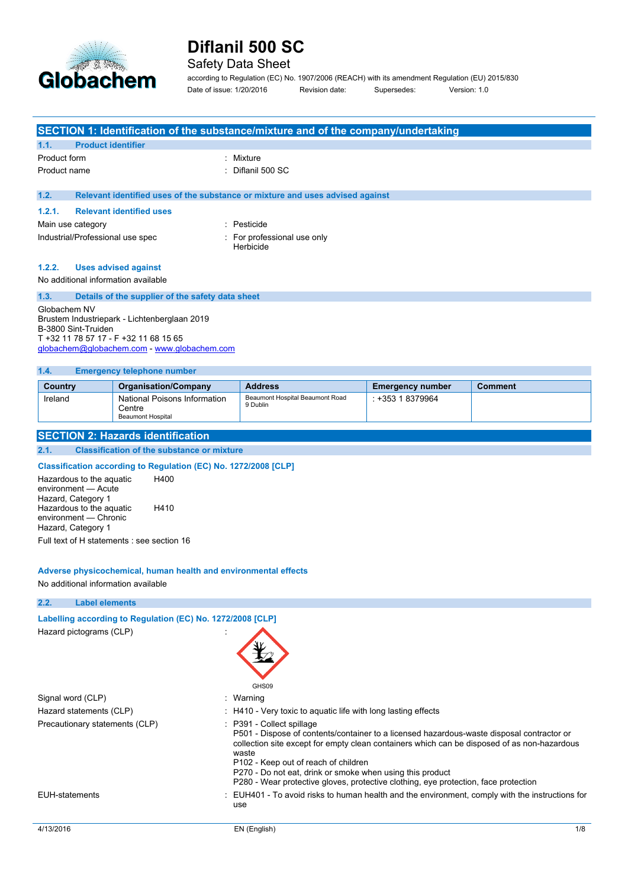

## Safety Data Sheet

according to Regulation (EC) No. 1907/2006 (REACH) with its amendment Regulation (EU) 2015/830 Date of issue: 1/20/2016 Revision date: Supersedes: Version: 1.0

| SECTION 1: Identification of the substance/mixture and of the company/undertaking |  |  |  |
|-----------------------------------------------------------------------------------|--|--|--|
|-----------------------------------------------------------------------------------|--|--|--|

| 1.1.         | <b>Product identifier</b> |                   |
|--------------|---------------------------|-------------------|
| Product form |                           | : Mixture         |
| Product name |                           | : Diflanil 500 SC |

#### **1.2. Relevant identified uses of the substance or mixture and uses advised against**

| 1.2.1. | <b>Relevant identified uses</b>  |                                          |
|--------|----------------------------------|------------------------------------------|
|        | Main use category                | : Pesticide                              |
|        | Industrial/Professional use spec | : For professional use only<br>Herbicide |

#### **1.2.2. Uses advised against**

No additional information available

### **1.3. Details of the supplier of the safety data sheet**

Globachem NV Brustem Industriepark - Lichtenberglaan 2019 B-3800 Sint-Truiden T +32 11 78 57 17 - F +32 11 68 15 65 [globachem@globachem.com](mailto:globachem@globachem.com) - <www.globachem.com>

#### **1.4. Emergency telephone number**

| Country | <b>Organisation/Company</b>                                 | <b>Address</b>                              | <b>Emergency number</b> | <b>Comment</b> |
|---------|-------------------------------------------------------------|---------------------------------------------|-------------------------|----------------|
| Ireland | National Poisons Information<br>Centre<br>Beaumont Hospital | Beaumont Hospital Beaumont Road<br>9 Dublin | : +353 1 8379964        |                |

## **SECTION 2: Hazards identification**

**2.1. Classification of the substance or mixture**

### **Classification according to Regulation (EC) No. 1272/2008 [CLP]**

Hazardous to the aquatic environment — Acute Hazard, Category 1 H400 Hazardous to the aquatic environment — Chronic Hazard, Category 1 H410

Full text of H statements : see section 16

#### **Adverse physicochemical, human health and environmental effects**

No additional information available

| 2.2.<br><b>Label elements</b>                              |                                                                                                                                                                                                                                                                                                                                                                                                                            |     |
|------------------------------------------------------------|----------------------------------------------------------------------------------------------------------------------------------------------------------------------------------------------------------------------------------------------------------------------------------------------------------------------------------------------------------------------------------------------------------------------------|-----|
| Labelling according to Regulation (EC) No. 1272/2008 [CLP] |                                                                                                                                                                                                                                                                                                                                                                                                                            |     |
| Hazard pictograms (CLP)                                    | GHS09                                                                                                                                                                                                                                                                                                                                                                                                                      |     |
| Signal word (CLP)                                          | : Warning                                                                                                                                                                                                                                                                                                                                                                                                                  |     |
| Hazard statements (CLP)                                    | : H410 - Very toxic to aquatic life with long lasting effects                                                                                                                                                                                                                                                                                                                                                              |     |
| Precautionary statements (CLP)                             | : P391 - Collect spillage<br>P501 - Dispose of contents/container to a licensed hazardous-waste disposal contractor or<br>collection site except for empty clean containers which can be disposed of as non-hazardous<br>waste<br>P102 - Keep out of reach of children<br>P270 - Do not eat, drink or smoke when using this product<br>P280 - Wear protective gloves, protective clothing, eye protection, face protection |     |
| EUH-statements                                             | EUH401 - To avoid risks to human health and the environment, comply with the instructions for<br>use                                                                                                                                                                                                                                                                                                                       |     |
| 4/13/2016                                                  | EN (English)                                                                                                                                                                                                                                                                                                                                                                                                               | 1/8 |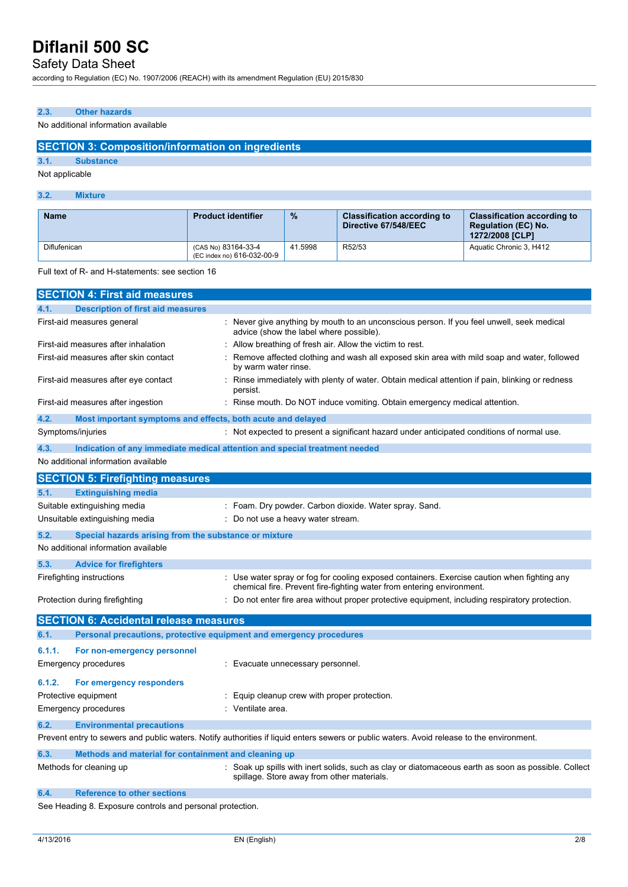# Safety Data Sheet

according to Regulation (EC) No. 1907/2006 (REACH) with its amendment Regulation (EU) 2015/830

## **2.3. Other hazards**

### No additional information available

## **SECTION 3: Composition/information on ingredients**

**3.1. Substance**

Not applicable

### **3.2. Mixture**

| <b>Name</b>  | <b>Product identifier</b>                         | $\%$    | <b>Classification according to</b><br>Directive 67/548/EEC | <b>Classification according to</b><br><b>Regulation (EC) No.</b><br>1272/2008 ICLP1 |
|--------------|---------------------------------------------------|---------|------------------------------------------------------------|-------------------------------------------------------------------------------------|
| Diflufenican | (CAS No) 83164-33-4<br>(EC index no) 616-032-00-9 | 41.5998 | R52/53                                                     | Aquatic Chronic 3, H412                                                             |

Full text of R- and H-statements: see section 16

|        | <b>SECTION 4: First aid measures</b>                                |                                                                                                                                                                      |
|--------|---------------------------------------------------------------------|----------------------------------------------------------------------------------------------------------------------------------------------------------------------|
| 4.1.   | <b>Description of first aid measures</b>                            |                                                                                                                                                                      |
|        | First-aid measures general                                          | Never give anything by mouth to an unconscious person. If you feel unwell, seek medical<br>advice (show the label where possible).                                   |
|        | First-aid measures after inhalation                                 | Allow breathing of fresh air. Allow the victim to rest.                                                                                                              |
|        | First-aid measures after skin contact                               | Remove affected clothing and wash all exposed skin area with mild soap and water, followed<br>by warm water rinse.                                                   |
|        | First-aid measures after eye contact                                | Rinse immediately with plenty of water. Obtain medical attention if pain, blinking or redness<br>persist.                                                            |
|        | First-aid measures after ingestion                                  | Rinse mouth. Do NOT induce vomiting. Obtain emergency medical attention.                                                                                             |
| 4.2.   | Most important symptoms and effects, both acute and delayed         |                                                                                                                                                                      |
|        | Symptoms/injuries                                                   | : Not expected to present a significant hazard under anticipated conditions of normal use.                                                                           |
| 4.3.   |                                                                     | Indication of any immediate medical attention and special treatment needed                                                                                           |
|        | No additional information available                                 |                                                                                                                                                                      |
|        | <b>SECTION 5: Firefighting measures</b>                             |                                                                                                                                                                      |
| 5.1.   | <b>Extinguishing media</b>                                          |                                                                                                                                                                      |
|        | Suitable extinguishing media                                        | : Foam. Dry powder. Carbon dioxide. Water spray. Sand.                                                                                                               |
|        | Unsuitable extinguishing media                                      | Do not use a heavy water stream.                                                                                                                                     |
| 5.2.   | Special hazards arising from the substance or mixture               |                                                                                                                                                                      |
|        | No additional information available                                 |                                                                                                                                                                      |
| 5.3.   | <b>Advice for firefighters</b>                                      |                                                                                                                                                                      |
|        | Firefighting instructions                                           | : Use water spray or fog for cooling exposed containers. Exercise caution when fighting any<br>chemical fire. Prevent fire-fighting water from entering environment. |
|        | Protection during firefighting                                      | : Do not enter fire area without proper protective equipment, including respiratory protection.                                                                      |
|        | <b>SECTION 6: Accidental release measures</b>                       |                                                                                                                                                                      |
| 6.1.   | Personal precautions, protective equipment and emergency procedures |                                                                                                                                                                      |
| 6.1.1. | For non-emergency personnel                                         |                                                                                                                                                                      |
|        | Emergency procedures                                                | : Evacuate unnecessary personnel.                                                                                                                                    |
| 6.1.2. | For emergency responders                                            |                                                                                                                                                                      |
|        | Protective equipment                                                | Equip cleanup crew with proper protection.                                                                                                                           |
|        | Emergency procedures                                                | : Ventilate area.                                                                                                                                                    |
| 6.2.   | <b>Environmental precautions</b>                                    |                                                                                                                                                                      |
|        |                                                                     | Prevent entry to sewers and public waters. Notify authorities if liquid enters sewers or public waters. Avoid release to the environment.                            |
| 6.3.   | Methods and material for containment and cleaning up                |                                                                                                                                                                      |
|        | Methods for cleaning up                                             | Soak up spills with inert solids, such as clay or diatomaceous earth as soon as possible. Collect<br>spillage. Store away from other materials.                      |
| 6.4.   | <b>Reference to other sections</b>                                  |                                                                                                                                                                      |

See Heading 8. Exposure controls and personal protection.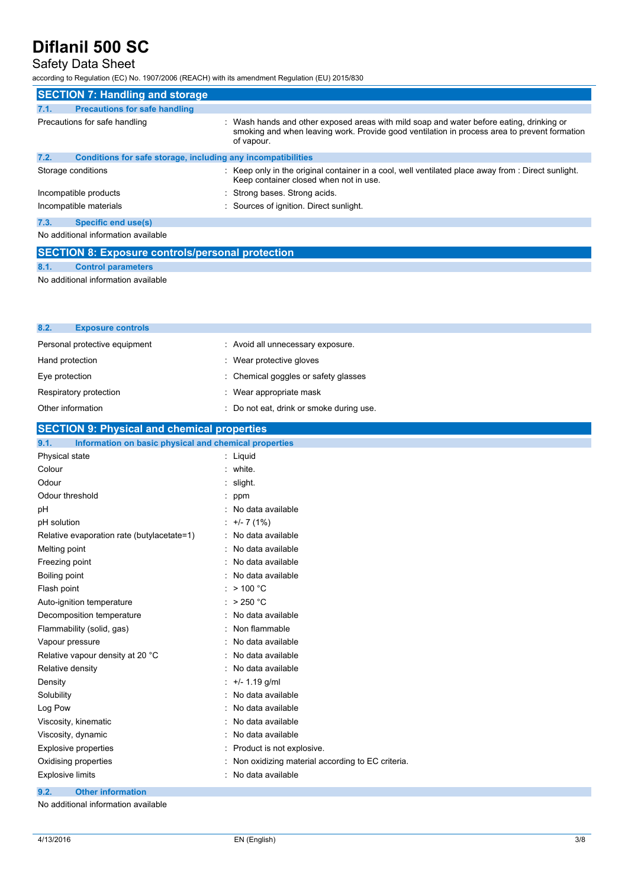# Safety Data Sheet

according to Regulation (EC) No. 1907/2006 (REACH) with its amendment Regulation (EU) 2015/830

|                                                         | <b>SECTION 7: Handling and storage</b>                       |                                                                                                                                                                                                      |
|---------------------------------------------------------|--------------------------------------------------------------|------------------------------------------------------------------------------------------------------------------------------------------------------------------------------------------------------|
| 7.1.                                                    | <b>Precautions for safe handling</b>                         |                                                                                                                                                                                                      |
|                                                         | Precautions for safe handling                                | Wash hands and other exposed areas with mild soap and water before eating, drinking or<br>smoking and when leaving work. Provide good ventilation in process area to prevent formation<br>of vapour. |
| 7.2.                                                    | Conditions for safe storage, including any incompatibilities |                                                                                                                                                                                                      |
|                                                         | Storage conditions                                           | Keep only in the original container in a cool, well ventilated place away from : Direct sunlight.<br>Keep container closed when not in use.                                                          |
|                                                         | Incompatible products                                        | Strong bases. Strong acids.                                                                                                                                                                          |
|                                                         | Incompatible materials                                       | : Sources of ignition. Direct sunlight.                                                                                                                                                              |
| 7.3.                                                    | Specific end use(s)                                          |                                                                                                                                                                                                      |
| No additional information available                     |                                                              |                                                                                                                                                                                                      |
| <b>SECTION 8: Exposure controls/personal protection</b> |                                                              |                                                                                                                                                                                                      |

## **8.1. Control parameters**

No additional information available

| 8.2.<br><b>Exposure controls</b>                              |                                        |
|---------------------------------------------------------------|----------------------------------------|
| Personal protective equipment                                 | : Avoid all unnecessary exposure.      |
| Hand protection                                               | : Wear protective gloves               |
| Eye protection                                                | : Chemical goggles or safety glasses   |
| Respiratory protection                                        | : Wear appropriate mask                |
| Other information                                             | Do not eat, drink or smoke during use. |
| <b>SECTION 9: Physical and chemical properties</b>            |                                        |
| Information on basic physical and chemical properties<br>9.1. |                                        |
| Physical state                                                | : Liquid                               |
| Colour                                                        | : white.                               |
| Odour                                                         | $:$ slight.                            |
| Odour threshold                                               | : ppm                                  |
| pH                                                            | : No data available                    |
| pH solution                                                   | $: +/- 7(1%)$                          |
| Relative evaporation rate (butylacetate=1)                    | : No data available                    |
| Melting point                                                 | : No data available                    |
|                                                               |                                        |

| Freezing point                   | : No data available                                |
|----------------------------------|----------------------------------------------------|
| Boiling point                    | : No data available                                |
| Flash point                      | : $>$ 100 °C                                       |
| Auto-ignition temperature        | : $>250 °C$                                        |
| Decomposition temperature        | : No data available                                |
| Flammability (solid, gas)        | : Non flammable                                    |
| Vapour pressure                  | : No data available                                |
| Relative vapour density at 20 °C | : No data available                                |
| Relative density                 | : No data available                                |
| Density                          | : $+/- 1.19$ g/ml                                  |
| Solubility                       | : No data available                                |
| Log Pow                          | : No data available                                |
| Viscosity, kinematic             | : No data available                                |
| Viscosity, dynamic               | : No data available                                |
| Explosive properties             | : Product is not explosive.                        |
| Oxidising properties             | : Non oxidizing material according to EC criteria. |
| Explosive limits                 | No data available                                  |
| 9.2.<br><b>Other information</b> |                                                    |

No additional information available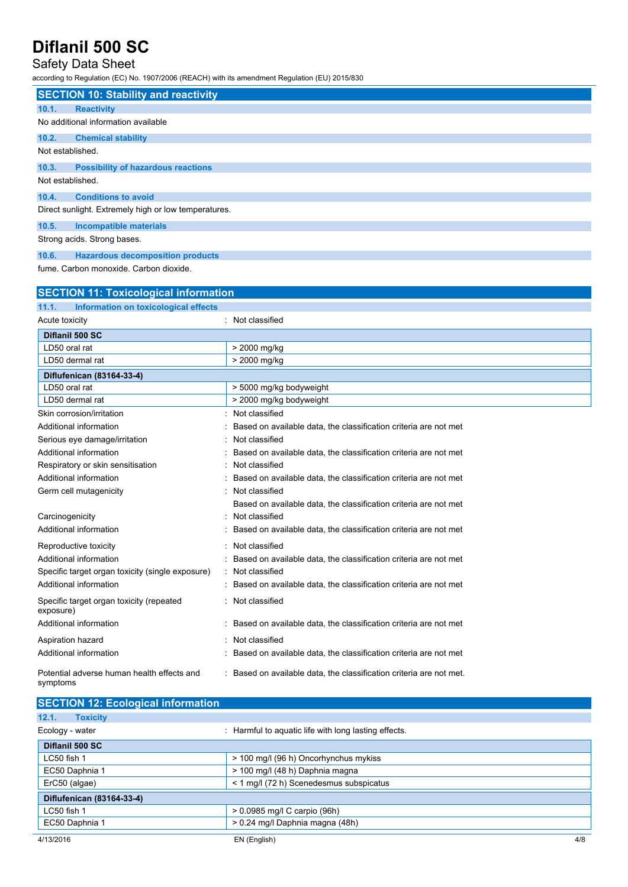# Safety Data Sheet

according to Regulation (EC) No. 1907/2006 (REACH) with its amendment Regulation (EU) 2015/830

|                  | <b>SECTION 10: Stability and reactivity</b>          |
|------------------|------------------------------------------------------|
| 10.1.            | <b>Reactivity</b>                                    |
|                  | No additional information available                  |
| 10.2.            | <b>Chemical stability</b>                            |
| Not established. |                                                      |
| 10.3.            | <b>Possibility of hazardous reactions</b>            |
| Not established. |                                                      |
| 10.4.            | <b>Conditions to avoid</b>                           |
|                  | Direct sunlight. Extremely high or low temperatures. |
| 10.5.            | Incompatible materials                               |
|                  | Strong acids. Strong bases.                          |
| 10.6.            | <b>Hazardous decomposition products</b>              |

fume. Carbon monoxide. Carbon dioxide.

| <b>SECTION 11: Toxicological information</b>           |                                                                   |
|--------------------------------------------------------|-------------------------------------------------------------------|
| Information on toxicological effects<br>11.1.          |                                                                   |
| Acute toxicity                                         | Not classified                                                    |
| Diflanil 500 SC                                        |                                                                   |
| LD50 oral rat                                          | > 2000 mg/kg                                                      |
| LD50 dermal rat                                        | > 2000 mg/kg                                                      |
| Diflufenican (83164-33-4)                              |                                                                   |
| LD50 oral rat                                          | > 5000 mg/kg bodyweight                                           |
| LD50 dermal rat                                        | > 2000 mg/kg bodyweight                                           |
| Skin corrosion/irritation                              | Not classified                                                    |
| Additional information                                 | Based on available data, the classification criteria are not met  |
| Serious eye damage/irritation                          | Not classified                                                    |
| Additional information                                 | Based on available data, the classification criteria are not met  |
| Respiratory or skin sensitisation                      | Not classified                                                    |
| Additional information                                 | Based on available data, the classification criteria are not met  |
| Germ cell mutagenicity                                 | Not classified                                                    |
|                                                        | Based on available data, the classification criteria are not met  |
| Carcinogenicity                                        | Not classified                                                    |
| Additional information                                 | Based on available data, the classification criteria are not met  |
| Reproductive toxicity                                  | Not classified                                                    |
| Additional information                                 | Based on available data, the classification criteria are not met  |
| Specific target organ toxicity (single exposure)       | Not classified                                                    |
| Additional information                                 | Based on available data, the classification criteria are not met  |
| Specific target organ toxicity (repeated<br>exposure)  | Not classified                                                    |
| Additional information                                 | Based on available data, the classification criteria are not met  |
| Aspiration hazard                                      | Not classified                                                    |
| Additional information                                 | Based on available data, the classification criteria are not met  |
| Potential adverse human health effects and<br>symptoms | Based on available data, the classification criteria are not met. |

| <b>SECTION 12: Ecological information</b> |                                                      |
|-------------------------------------------|------------------------------------------------------|
| 12.1.<br><b>Toxicity</b>                  |                                                      |
| Ecology - water                           | : Harmful to aquatic life with long lasting effects. |
| Diflanil 500 SC                           |                                                      |
| LC50 fish 1                               | > 100 mg/l (96 h) Oncorhynchus mykiss                |
| EC50 Daphnia 1                            | > 100 mg/l (48 h) Daphnia magna                      |
| ErC50 (algae)                             | < 1 mg/l (72 h) Scenedesmus subspicatus              |
| Diflufenican (83164-33-4)                 |                                                      |
| $LC50$ fish 1                             | $> 0.0985$ mg/l C carpio (96h)                       |
| EC50 Daphnia 1                            | > 0.24 mg/l Daphnia magna (48h)                      |
| 4/13/2016                                 | 4/8<br>EN (English)                                  |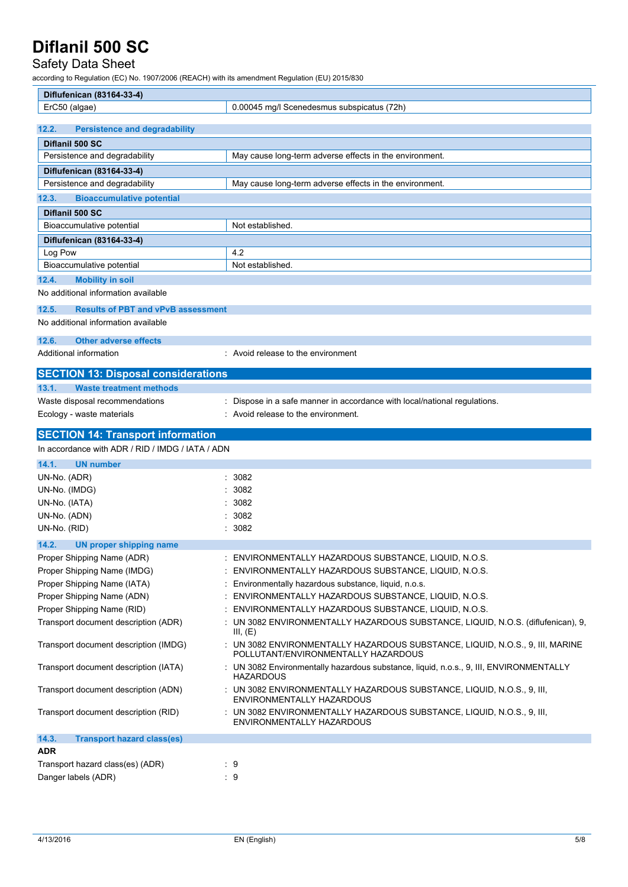# Safety Data Sheet

according to Regulation (EC) No. 1907/2006 (REACH) with its amendment Regulation (EU) 2015/830

| Diflufenican (83164-33-4)                                                                    |                                                                                                                                                   |
|----------------------------------------------------------------------------------------------|---------------------------------------------------------------------------------------------------------------------------------------------------|
| ErC50 (algae)                                                                                | 0.00045 mg/l Scenedesmus subspicatus (72h)                                                                                                        |
|                                                                                              |                                                                                                                                                   |
| 12.2.<br><b>Persistence and degradability</b>                                                |                                                                                                                                                   |
| Diflanil 500 SC                                                                              |                                                                                                                                                   |
| Persistence and degradability                                                                | May cause long-term adverse effects in the environment.                                                                                           |
| Diflufenican (83164-33-4)                                                                    |                                                                                                                                                   |
| Persistence and degradability                                                                | May cause long-term adverse effects in the environment.                                                                                           |
| <b>Bioaccumulative potential</b><br>12.3.                                                    |                                                                                                                                                   |
| Diflanil 500 SC<br>Bioaccumulative potential                                                 | Not established.                                                                                                                                  |
|                                                                                              |                                                                                                                                                   |
| Diflufenican (83164-33-4)<br>Log Pow                                                         | 4.2                                                                                                                                               |
| Bioaccumulative potential                                                                    | Not established.                                                                                                                                  |
| 12.4.<br><b>Mobility in soil</b>                                                             |                                                                                                                                                   |
| No additional information available                                                          |                                                                                                                                                   |
| <b>Results of PBT and vPvB assessment</b><br>12.5.                                           |                                                                                                                                                   |
| No additional information available                                                          |                                                                                                                                                   |
| 12.6.<br><b>Other adverse effects</b>                                                        |                                                                                                                                                   |
| Additional information                                                                       | : Avoid release to the environment                                                                                                                |
| <b>SECTION 13: Disposal considerations</b>                                                   |                                                                                                                                                   |
| 13.1.<br><b>Waste treatment methods</b>                                                      |                                                                                                                                                   |
| Waste disposal recommendations                                                               | Dispose in a safe manner in accordance with local/national regulations.                                                                           |
| Ecology - waste materials                                                                    | : Avoid release to the environment.                                                                                                               |
|                                                                                              |                                                                                                                                                   |
|                                                                                              |                                                                                                                                                   |
| <b>SECTION 14: Transport information</b><br>In accordance with ADR / RID / IMDG / IATA / ADN |                                                                                                                                                   |
| 14.1.<br><b>UN number</b>                                                                    |                                                                                                                                                   |
|                                                                                              | : 3082                                                                                                                                            |
| UN-No. (ADR)                                                                                 | 3082                                                                                                                                              |
| UN-No. (IMDG)                                                                                | 3082                                                                                                                                              |
| UN-No. (IATA)                                                                                | 3082                                                                                                                                              |
| UN-No. (ADN)<br>UN-No. (RID)                                                                 | : 3082                                                                                                                                            |
| 14.2.                                                                                        |                                                                                                                                                   |
| UN proper shipping name                                                                      |                                                                                                                                                   |
| Proper Shipping Name (ADR)<br>Proper Shipping Name (IMDG)                                    | ENVIRONMENTALLY HAZARDOUS SUBSTANCE, LIQUID, N.O.S.<br>ENVIRONMENTALLY HAZARDOUS SUBSTANCE, LIQUID, N.O.S.                                        |
| Proper Shipping Name (IATA)                                                                  | Environmentally hazardous substance, liquid, n.o.s.                                                                                               |
| Proper Shipping Name (ADN)                                                                   | ENVIRONMENTALLY HAZARDOUS SUBSTANCE, LIQUID, N.O.S.                                                                                               |
| Proper Shipping Name (RID)                                                                   | ENVIRONMENTALLY HAZARDOUS SUBSTANCE, LIQUID, N.O.S.                                                                                               |
| Transport document description (ADR)                                                         | UN 3082 ENVIRONMENTALLY HAZARDOUS SUBSTANCE, LIQUID, N.O.S. (diflufenican), 9,                                                                    |
| Transport document description (IMDG)                                                        | III, $(E)$<br>: UN 3082 ENVIRONMENTALLY HAZARDOUS SUBSTANCE, LIQUID, N.O.S., 9, III, MARINE                                                       |
| Transport document description (IATA)                                                        | POLLUTANT/ENVIRONMENTALLY HAZARDOUS<br>: UN 3082 Environmentally hazardous substance, liquid, n.o.s., 9, III, ENVIRONMENTALLY<br><b>HAZARDOUS</b> |
| Transport document description (ADN)                                                         | : UN 3082 ENVIRONMENTALLY HAZARDOUS SUBSTANCE, LIQUID, N.O.S., 9, III,<br>ENVIRONMENTALLY HAZARDOUS                                               |
| Transport document description (RID)                                                         | : UN 3082 ENVIRONMENTALLY HAZARDOUS SUBSTANCE, LIQUID, N.O.S., 9, III,<br>ENVIRONMENTALLY HAZARDOUS                                               |
| 14.3.<br><b>Transport hazard class(es)</b>                                                   |                                                                                                                                                   |
| <b>ADR</b><br>Transport hazard class(es) (ADR)                                               | : 9                                                                                                                                               |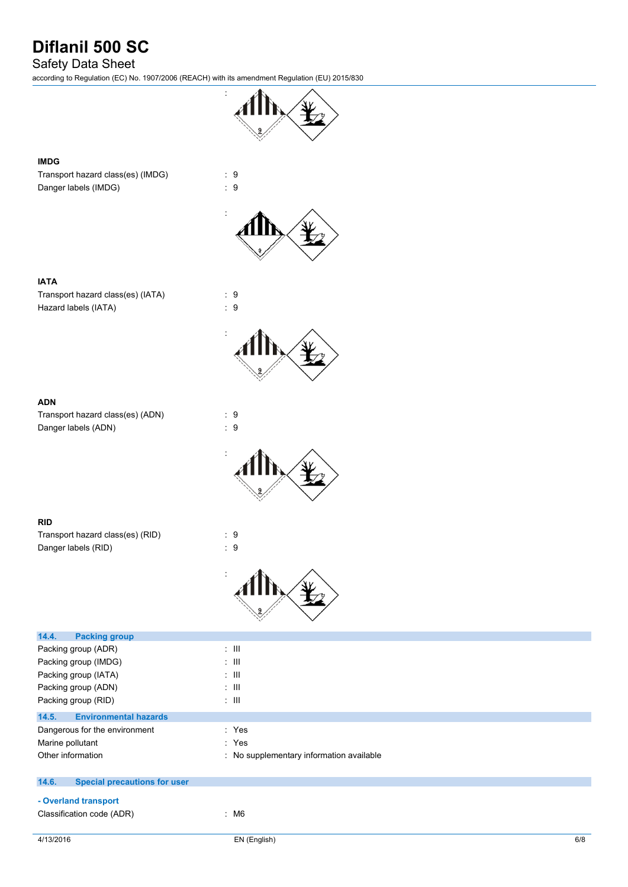# Safety Data Sheet

according to Regulation (EC) No. 1907/2006 (REACH) with its amendment Regulation (EU) 2015/830

:



### **IMDG**

Transport hazard class(es) (IMDG) : 9 Danger labels (IMDG)  $\qquad \qquad$  : 9



### **IATA**

Transport hazard class(es) (IATA) : 9 Hazard labels (IATA)  $\qquad \qquad$  : 9



Transport hazard class(es) (ADN) : 9 Danger labels (ADN) : 9



### **RID**

Transport hazard class(es) (RID) : 9 Danger labels (RID) : 9



| 14.4.<br><b>Packing group</b>                |                                          |
|----------------------------------------------|------------------------------------------|
| Packing group (ADR)                          | $\pm$ 111                                |
| Packing group (IMDG)                         | $\therefore$ $\blacksquare$              |
| Packing group (IATA)                         | $\therefore$ $\blacksquare$              |
| Packing group (ADN)                          | $\pm$ 111                                |
| Packing group (RID)                          | $\therefore$ III.                        |
| <b>Environmental hazards</b><br>14.5.        |                                          |
| Dangerous for the environment                | : Yes                                    |
| Marine pollutant                             | : Yes                                    |
| Other information                            | : No supplementary information available |
| <b>Special precautions for user</b><br>14.6. |                                          |
| - Overland transport                         |                                          |
| Classification code (ADR)                    | : M6                                     |
|                                              |                                          |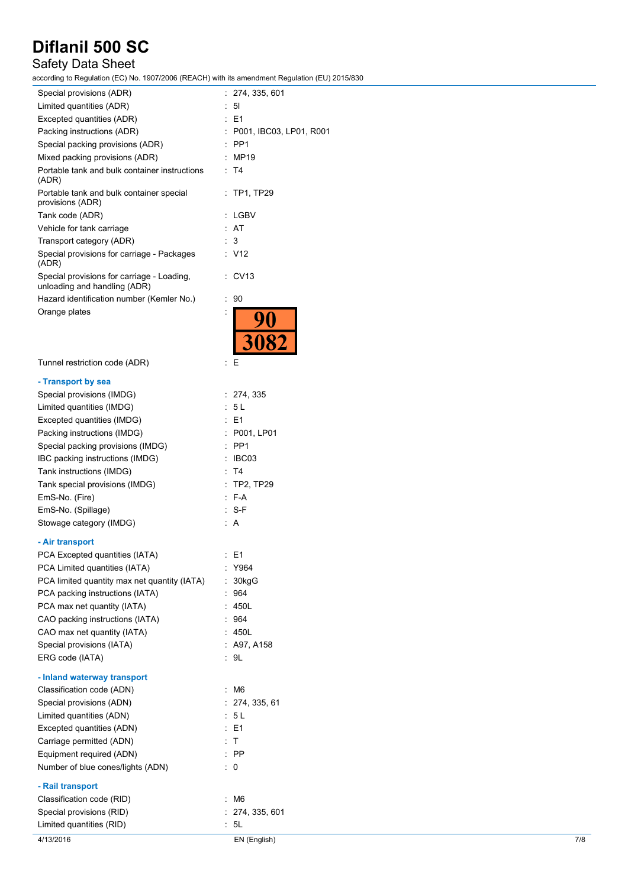# Safety Data Sheet

according to Regulation (EC) No. 1907/2006 (REACH) with its amendment Regulation (EU) 2015/830

| Special provisions (ADR)                                                   | : 274, 335, 601             |     |
|----------------------------------------------------------------------------|-----------------------------|-----|
| Limited quantities (ADR)                                                   | $\therefore$ 51             |     |
| Excepted quantities (ADR)                                                  | $\therefore$ E1             |     |
| Packing instructions (ADR)                                                 | $:$ P001, IBC03, LP01, R001 |     |
| Special packing provisions (ADR)                                           | $:$ PP1                     |     |
| Mixed packing provisions (ADR)                                             | : MP19                      |     |
| Portable tank and bulk container instructions<br>(ADR)                     | : T4                        |     |
| Portable tank and bulk container special<br>provisions (ADR)               | : TP1, TP29                 |     |
| Tank code (ADR)                                                            | : LGBV                      |     |
| Vehicle for tank carriage                                                  | : AT                        |     |
| Transport category (ADR)                                                   | : 3                         |     |
| Special provisions for carriage - Packages<br>(ADR)                        | : V12                       |     |
| Special provisions for carriage - Loading,<br>unloading and handling (ADR) | $\therefore$ CV13           |     |
| Hazard identification number (Kemler No.)                                  | $\therefore$ 90             |     |
| Orange plates                                                              |                             |     |
|                                                                            |                             |     |
| Tunnel restriction code (ADR)                                              | ÷Ε                          |     |
| - Transport by sea                                                         |                             |     |
| Special provisions (IMDG)                                                  | : 274, 335                  |     |
| Limited quantities (IMDG)                                                  | : 5L                        |     |
| Excepted quantities (IMDG)                                                 | $\therefore$ E1             |     |
| Packing instructions (IMDG)                                                | : P001, LP01                |     |
| Special packing provisions (IMDG)                                          | $:$ PP1                     |     |
| IBC packing instructions (IMDG)                                            | : IBC03                     |     |
| Tank instructions (IMDG)                                                   | : T4                        |     |
| Tank special provisions (IMDG)                                             | : TP2, TP29                 |     |
| EmS-No. (Fire)                                                             | $: F-A$                     |     |
| EmS-No. (Spillage)                                                         | $: S-F$                     |     |
| Stowage category (IMDG)                                                    | : A                         |     |
|                                                                            |                             |     |
| - Air transport                                                            |                             |     |
| PCA Excepted quantities (IATA)                                             | : E1                        |     |
| PCA Limited quantities (IATA)                                              | : Y964                      |     |
| PCA limited quantity max net quantity (IATA)                               | : 30kgG                     |     |
| PCA packing instructions (IATA)                                            | : 964                       |     |
| PCA max net quantity (IATA)                                                | : 450L                      |     |
| CAO packing instructions (IATA)                                            | : 964<br>: 450L             |     |
| CAO max net quantity (IATA)                                                | : A97, A158                 |     |
| Special provisions (IATA)<br>ERG code (IATA)                               | : 9L                        |     |
| - Inland waterway transport                                                |                             |     |
| Classification code (ADN)                                                  | : M6                        |     |
| Special provisions (ADN)                                                   | : 274, 335, 61              |     |
| Limited quantities (ADN)                                                   | : 5L                        |     |
| Excepted quantities (ADN)                                                  | $\therefore$ E1             |     |
| Carriage permitted (ADN)                                                   | : T                         |     |
| Equipment required (ADN)                                                   | $:$ PP                      |     |
| Number of blue cones/lights (ADN)                                          | $\therefore$ 0              |     |
| - Rail transport                                                           |                             |     |
| Classification code (RID)                                                  | : M6                        |     |
| Special provisions (RID)                                                   | : 274, 335, 601             |     |
| Limited quantities (RID)                                                   | : 5L                        |     |
| 4/13/2016                                                                  | EN (English)                | 7/8 |